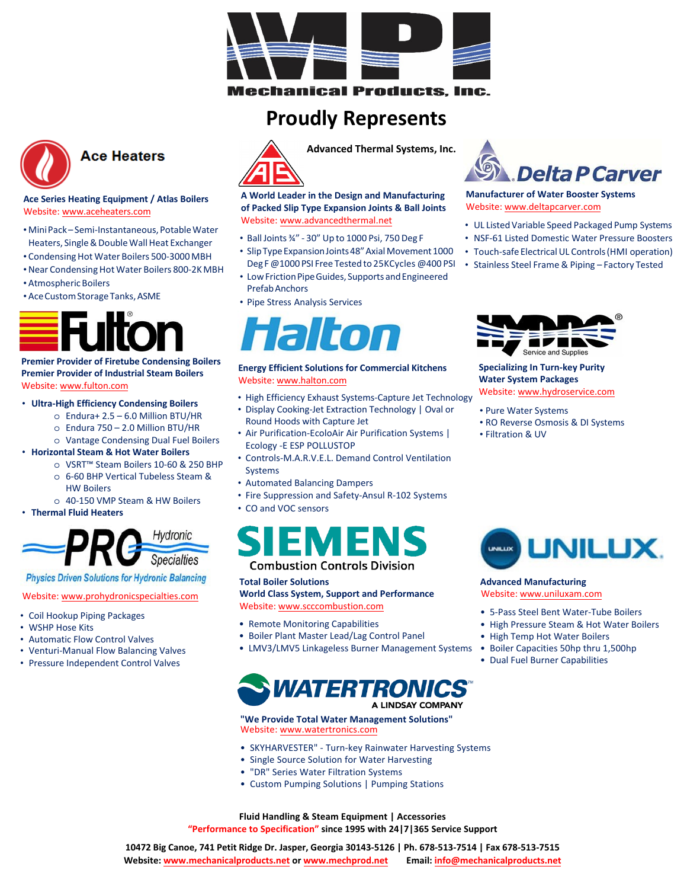

**Mechanical Products, Inc.** 

## **Proudly Represents**



### **Ace Heaters**

### Ace Series Heating Equipment / Atlas Boilers Website: www.aceheaters.com

- · Mini Pack Semi-Instantaneous, Potable Water Heaters, Single & Double Wall Heat Exchanger
- Condensing Hot Water Boilers 500-3000 MBH
- Near Condensing Hot Water Boilers 800-2K MBH
- Atmospheric Boilers
- Ace Custom Storage Tanks, ASME

### **Premier Provider of Firetube Condensing Boilers Premier Provider of Industrial Steam Boilers** Website: www.fulton.com

### • Ultra-High Efficiency Condensing Boilers

- $\circ$  Endura+ 2.5 6.0 Million BTU/HR
- O Endura 750 2.0 Million BTU/HR
- o Vantage Condensing Dual Fuel Boilers
- Horizontal Steam & Hot Water Boilers
	- VSRT<sup>™</sup> Steam Boilers 10-60 & 250 BHP
		- o 6-60 BHP Vertical Tubeless Steam &
		- **HW Rojlers** o 40-150 VMP Steam & HW Boilers
- Thermal Fluid Heaters



**Specialties Physics Driven Solutions for Hydronic Balancing** 

### Website: www.prohydronicspecialties.com

- Coil Hookup Piping Packages
- WSHP Hose Kits
- Automatic Flow Control Valves
- Venturi-Manual Flow Balancing Valves
- Pressure Independent Control Valves



A World Leader in the Design and Manufacturing

of Packed Slip Type Expansion Joints & Ball Joints Website: www.advancedthermal.net

- Ball Joints 34" 30" Up to 1000 Psi, 750 Deg F
- · Slip Type Expansion Joints 48" Axial Movement 1000 Deg F @1000 PSI Free Tested to 25KCycles @400 PSI
- Low Friction Pipe Guides, Supports and Engineered **Prefah Anchors**
- Pipe Stress Analysis Services



### **Energy Efficient Solutions for Commercial Kitchens** Website: www.halton.com

- High Efficiency Exhaust Systems-Capture Jet Technology
- Display Cooking-Jet Extraction Technology | Oval or Round Hoods with Capture Jet
- Air Purification-EcoloAir Air Purification Systems | Ecology - E ESP POLLUSTOP
- Controls-M.A.R.V.E.L. Demand Control Ventilation **Systems**
- Automated Balancing Dampers
- Fire Suppression and Safety-Ansul R-102 Systems
- CO and VOC sensors

# MF

### **Combustion Controls Division**

### **Total Boiler Solutions**

**World Class System, Support and Performance** Website: www.scccombustion.com

- Remote Monitoring Capabilities
- Boiler Plant Master Lead/Lag Control Panel
- LMV3/LMV5 Linkageless Burner Management Systems

### **WATERTRO** A LINDSAY COMPANY

### "We Provide Total Water Management Solutions" Website: www.watertronics.com

- SKYHARVESTER" Turn-key Rainwater Harvesting Systems
- Single Source Solution for Water Harvesting
- "DR" Series Water Filtration Systems
- Custom Pumping Solutions | Pumping Stations



### **Manufacturer of Water Booster Systems** Website: www.deltapcarver.com

- UL Listed Variable Speed Packaged Pump Systems
- NSF-61 Listed Domestic Water Pressure Boosters
- Touch-safe Electrical UL Controls (HMI operation)
- Stainless Steel Frame & Piping Factory Tested



### **Specializing In Turn-key Purity Water System Packages** Website: www.hydroservice.com

- Pure Water Systems
- RO Reverse Osmosis & DI Systems
- Filtration & UV



### **Advanced Manufacturing** Website: www.uniluxam.com

- 5-Pass Steel Bent Water-Tube Boilers
- High Pressure Steam & Hot Water Boilers
- High Temp Hot Water Boilers
- Boiler Capacities 50hp thru 1,500hp
- Dual Fuel Burner Capabilities

Fluid Handling & Steam Equipment | Accessories "Performance to Specification" since 1995 with 24 | 7 | 365 Service Support